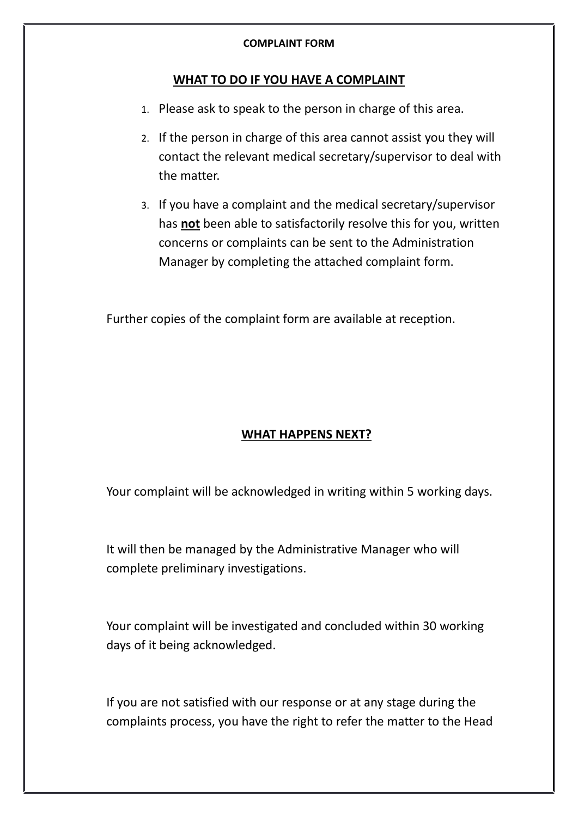## **COMPLAINT FORM**

## **WHAT TO DO IF YOU HAVE A COMPLAINT**

- 1. Please ask to speak to the person in charge of this area.
- 2. If the person in charge of this area cannot assist you they will contact the relevant medical secretary/supervisor to deal with the matter.
- 3. If you have a complaint and the medical secretary/supervisor has **not** been able to satisfactorily resolve this for you, written concerns or complaints can be sent to the Administration Manager by completing the attached complaint form.

Further copies of the complaint form are available at reception.

# **WHAT HAPPENS NEXT?**

Your complaint will be acknowledged in writing within 5 working days.

It will then be managed by the Administrative Manager who will complete preliminary investigations.

Your complaint will be investigated and concluded within 30 working days of it being acknowledged.

If you are not satisfied with our response or at any stage during the complaints process, you have the right to refer the matter to the Head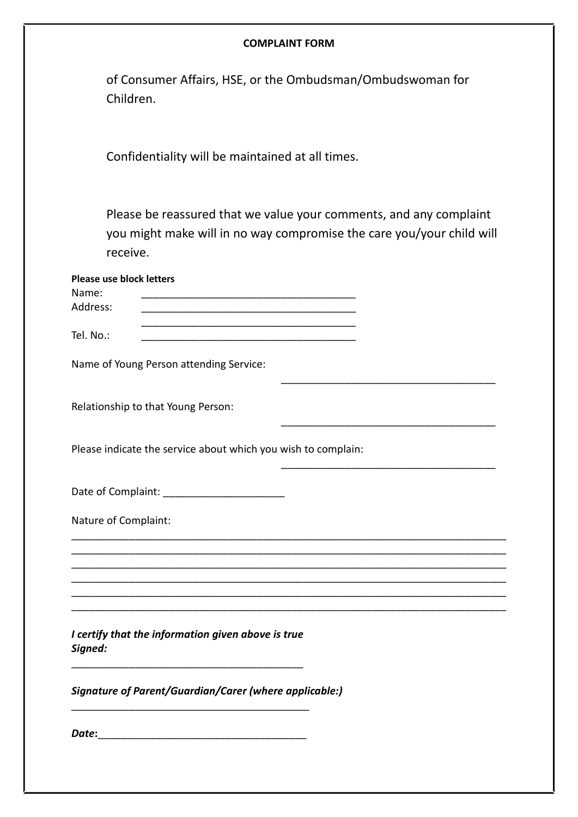### **COMPLAINT FORM**

| of Consumer Affairs, HSE, or the Ombudsman/Ombudswoman for |
|------------------------------------------------------------|
| Children.                                                  |

Confidentiality will be maintained at all times.

Please be reassured that we value your comments, and any complaint you might make will in no way compromise the care you/your child will receive.

| <b>Please use block letters</b>                                                                                                   |
|-----------------------------------------------------------------------------------------------------------------------------------|
| Name:                                                                                                                             |
| Address:                                                                                                                          |
| Tel. No.:<br><u> 2000 - Jan James James Jan James James Jan James James Jan James James Jan James James Jan Jan James Jan Jan</u> |
| Name of Young Person attending Service:                                                                                           |
| Relationship to that Young Person:                                                                                                |
| Please indicate the service about which you wish to complain:                                                                     |
|                                                                                                                                   |
| Nature of Complaint:                                                                                                              |
|                                                                                                                                   |
|                                                                                                                                   |
|                                                                                                                                   |
|                                                                                                                                   |
| I certify that the information given above is true<br>Signed:                                                                     |
| Signature of Parent/Guardian/Carer (where applicable:)                                                                            |
| Date:                                                                                                                             |